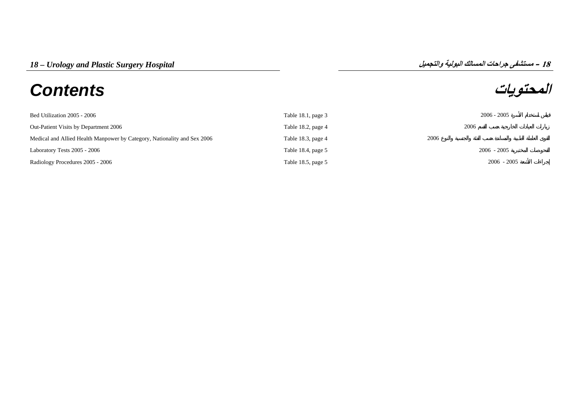## **المحتويات** *Contents*



| Bed Utilization 2005 - 2006                                              | Table 18.1, page $3$ | $2006 - 2005$ |
|--------------------------------------------------------------------------|----------------------|---------------|
| Out-Patient Visits by Department 2006                                    | Table 18.2, page 4   | 2006          |
| Medical and Allied Health Manpower by Category, Nationality and Sex 2006 | Table 18.3, page 4   | 2006          |
| Laboratory Tests 2005 - 2006                                             | Table 18.4, page 5   | $2006 - 2005$ |
| Radiology Procedures 2005 - 2006                                         | Table 18.5, page 5   | $2006 - 2005$ |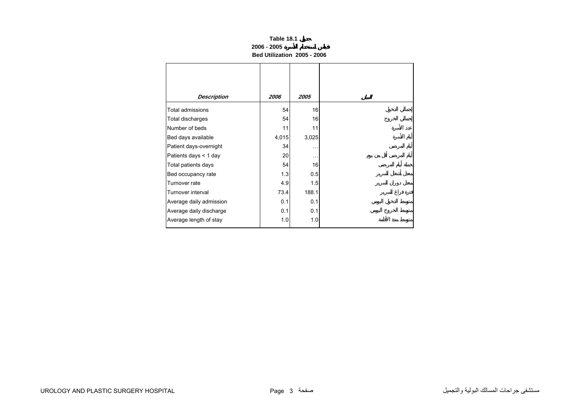| Table 18.1                  |  |
|-----------------------------|--|
| 2006 - 2005                 |  |
| Bed Utilization 2005 - 2006 |  |

<span id="page-1-0"></span>

| <b>Description</b>      | 2006  | 2005      |
|-------------------------|-------|-----------|
| <b>Total admissions</b> | 54    | 16        |
| <b>Total discharges</b> | 54    | 16        |
| Number of beds          | 11    | 11        |
| Bed days available      | 4,015 | 3,025     |
| Patient days-overnight  | 34    | $\ddotsc$ |
| Patients days < 1 day   | 20    | $\cdots$  |
| Total patients days     | 54    | 16        |
| Bed occupancy rate      | 1.3   | 0.5       |
| Turnover rate           | 4.9   | 1.5       |
| Turnover interval       | 73.4  | 188.1     |
| Average daily admission | 0.1   | 0.1       |
| Average daily discharge | 0.1   | 0.1       |
| Average length of stay  | 1.0   | 1.0       |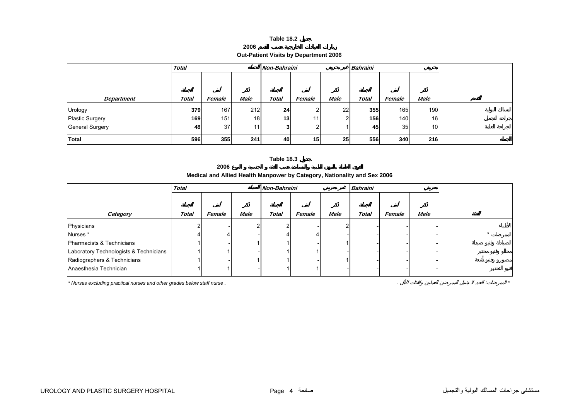## **Table 18.2**

| 2006 |
|------|
|------|

<span id="page-2-0"></span>

|                        | <b>Total</b> |        |             | Non-Bahraini |                 |      | <b>Bahraini</b> |        |                 |  |
|------------------------|--------------|--------|-------------|--------------|-----------------|------|-----------------|--------|-----------------|--|
|                        |              |        |             |              |                 |      |                 |        |                 |  |
|                        |              |        |             |              |                 |      |                 |        |                 |  |
| <b>Department</b>      | <b>Total</b> | Female | <b>Male</b> | <b>Total</b> | Female          | Male | <b>Total</b>    | Female | <b>Male</b>     |  |
|                        |              |        |             |              |                 |      |                 |        |                 |  |
| Urology                | 379          | 167    | 212         | 24           | ົ               | 22   | 355             | 165    | 1901            |  |
| <b>Plastic Surgery</b> | 169          | 151    | 18          | 13           | 11              | ົ    | 156             | 140    | 16              |  |
| General Surgery        | 48           | 37     | 11          | 3            | ົ               |      | 45              | 35     | 10 <sup>1</sup> |  |
| Total                  | 596          | 355    | 241         | 40           | 15 <sub>l</sub> | 25   | 556             | 340    | 216             |  |

## **Table 18.3**

**2006**

## **Medical and Allied Health Manpower by Category, Nationality and Sex 2006**

|                                        | <b>Total</b> |        |      | Non-Bahraini |        |             | <b>Bahraini</b> |        |             |  |
|----------------------------------------|--------------|--------|------|--------------|--------|-------------|-----------------|--------|-------------|--|
|                                        |              |        |      |              |        |             |                 |        |             |  |
| Category                               | <b>Total</b> | Female | Male | <b>Total</b> | Female | <b>Male</b> | <b>Total</b>    | Female | <b>Male</b> |  |
| Physicians                             |              |        |      |              |        |             |                 |        |             |  |
| Nurses*                                |              |        |      |              |        |             |                 |        |             |  |
| Pharmacists & Technicians              |              |        |      |              |        |             |                 |        |             |  |
| Laboratory Technologists & Technicians |              |        |      |              |        |             |                 |        |             |  |
| Radiographers & Technicians            |              |        |      |              |        |             |                 |        |             |  |
| Anaesthesia Technician                 |              |        |      |              |        |             |                 |        |             |  |

*\* Nurses excluding practical nurses and other grades below staff nurse .* . : *\**